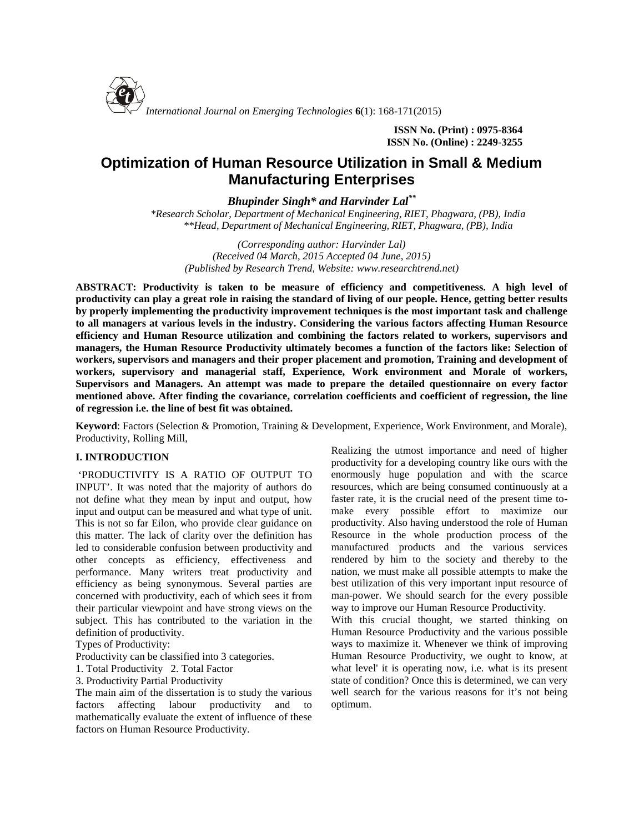

**ISSN No. (Print) : 0975-8364 ISSN No. (Online) : 2249-3255**

# **Optimization of Human Resource Utilization in Small & Medium Manufacturing Enterprises**

*Bhupinder Singh\* and Harvinder Lal\*\**

*\*Research Scholar, Department of Mechanical Engineering, RIET, Phagwara, (PB), India \*\*Head, Department of Mechanical Engineering, RIET, Phagwara, (PB), India*

*(Corresponding author: Harvinder Lal) (Received 04 March, 2015 Accepted 04 June, 2015) (Published by Research Trend, Website: [www.researchtrend.net\)](www.researchtrend.net)*

**ABSTRACT: Productivity is taken to be measure of efficiency and competitiveness. A high level of productivity can play a great role in raising the standard of living of our people. Hence, getting better results by properly implementing the productivity improvement techniques is the most important task and challenge to all managers at various levels in the industry. Considering the various factors affecting Human Resource efficiency and Human Resource utilization and combining the factors related to workers, supervisors and managers, the Human Resource Productivity ultimately becomes a function of the factors like: Selection of workers, supervisors and managers and their proper placement and promotion, Training and development of workers, supervisory and managerial staff, Experience, Work environment and Morale of workers, Supervisors and Managers. An attempt was made to prepare the detailed questionnaire on every factor mentioned above. After finding the covariance, correlation coefficients and coefficient of regression, the line of regression i.e. the line of best fit was obtained.**

**Keyword**: Factors (Selection & Promotion, Training & Development, Experience, Work Environment, and Morale), Productivity, Rolling Mill,

### **I. INTRODUCTION**

'PRODUCTIVITY IS A RATIO OF OUTPUT TO INPUT'. It was noted that the majority of authors do not define what they mean by input and output, how input and output can be measured and what type of unit. This is not so far Eilon, who provide clear guidance on this matter. The lack of clarity over the definition has led to considerable confusion between productivity and other concepts as efficiency, effectiveness and performance. Many writers treat productivity and efficiency as being synonymous. Several parties are concerned with productivity, each of which sees it from their particular viewpoint and have strong views on the subject. This has contributed to the variation in the definition of productivity.

Types of Productivity:

Productivity can be classified into 3 categories.

1. Total Productivity 2. Total Factor

3. Productivity Partial Productivity

The main aim of the dissertation is to study the various factors affecting labour productivity and to mathematically evaluate the extent of influence of these factors on Human Resource Productivity.

Realizing the utmost importance and need of higher productivity for a developing country like ours with the enormously huge population and with the scarce resources, which are being consumed continuously at a faster rate, it is the crucial need of the present time to make every possible effort to maximize our productivity. Also having understood the role of Human Resource in the whole production process of the manufactured products and the various services rendered by him to the society and thereby to the nation, we must make all possible attempts to make the best utilization of this very important input resource of man-power. We should search for the every possible way to improve our Human Resource Productivity.

With this crucial thought, we started thinking on Human Resource Productivity and the various possible ways to maximize it. Whenever we think of improving Human Resource Productivity, we ought to know, at what level' it is operating now, i.e. what is its present state of condition? Once this is determined, we can very well search for the various reasons for it's not being optimum.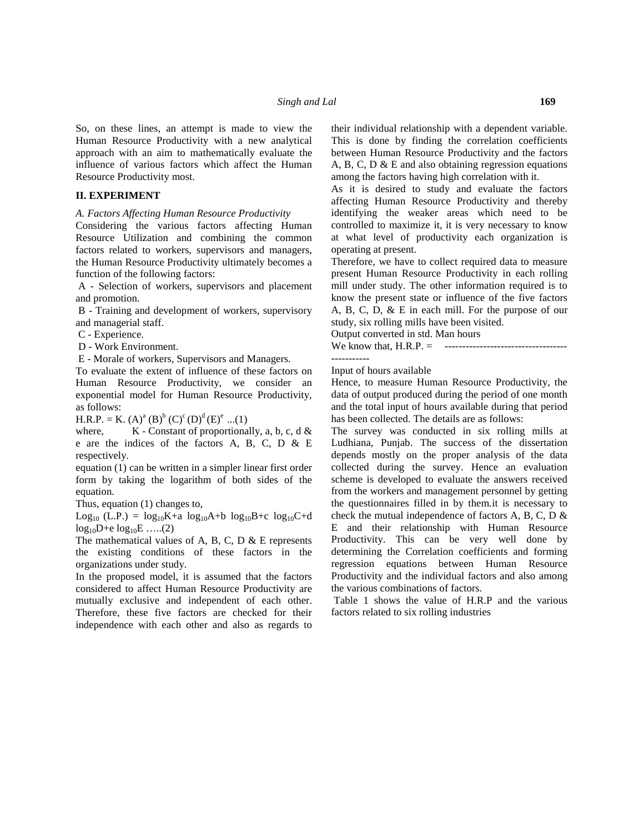So, on these lines, an attempt is made to view the Human Resource Productivity with a new analytical approach with an aim to mathematically evaluate the influence of various factors which affect the Human Resource Productivity most.

#### **II. EXPERIMENT**

*A. Factors Affecting Human Resource Productivity*

Considering the various factors affecting Human Resource Utilization and combining the common factors related to workers, supervisors and managers, the Human Resource Productivity ultimately becomes a function of the following factors:

A - Selection of workers, supervisors and placement and promotion.

B - Training and development of workers, supervisory and managerial staff.

C - Experience.

D - Work Environment.

E - Morale of workers, Supervisors and Managers.

To evaluate the extent of influence of these factors on Human Resource Productivity, we consider an exponential model for Human Resource Productivity, as follows:

 $H.R.P. = K. (A)<sup>a</sup> (B)<sup>b</sup> (C)<sup>c</sup> (D)<sup>d</sup> (E)<sup>e</sup> ...(1)$ 

where,  $K$  - Constant of proportionally, a, b, c, d & e are the indices of the factors A, B, C, D & E respectively.

equation (1) can be written in a simpler linear first order form by taking the logarithm of both sides of the equation.

Thus, equation (1) changes to,

Log<sub>10</sub> (L.P.) =  $log_{10}K+a log_{10}A+b log_{10}B+c log_{10}C+d$  $log_{10}D+e log_{10}E$  .....(2)

The mathematical values of A, B, C, D  $\&$  E represents the existing conditions of these factors in the organizations under study.

In the proposed model, it is assumed that the factors considered to affect Human Resource Productivity are mutually exclusive and independent of each other. Therefore, these five factors are checked for their independence with each other and also as regards to

their individual relationship with a dependent variable. This is done by finding the correlation coefficients between Human Resource Productivity and the factors A, B, C, D & E and also obtaining regression equations among the factors having high correlation with it.

As it is desired to study and evaluate the factors affecting Human Resource Productivity and thereby identifying the weaker areas which need to be controlled to maximize it, it is very necessary to know at what level of productivity each organization is operating at present.

Therefore, we have to collect required data to measure present Human Resource Productivity in each rolling mill under study. The other information required is to know the present state or influence of the five factors A, B, C, D, & E in each mill. For the purpose of our study, six rolling mills have been visited.

Output converted in std. Man hours

We know that, H.R.P. = ----------------------------------- -----------

Input of hours available

Hence, to measure Human Resource Productivity, the data of output produced during the period of one month and the total input of hours available during that period has been collected. The details are as follows:

The survey was conducted in six rolling mills at Ludhiana, Punjab. The success of the dissertation depends mostly on the proper analysis of the data collected during the survey. Hence an evaluation scheme is developed to evaluate the answers received from the workers and management personnel by getting the questionnaires filled in by them.it is necessary to check the mutual independence of factors A, B, C, D & E and their relationship with Human Resource Productivity. This can be very well done by determining the Correlation coefficients and forming regression equations between Human Resource Productivity and the individual factors and also among the various combinations of factors.

Table 1 shows the value of H.R.P and the various factors related to six rolling industries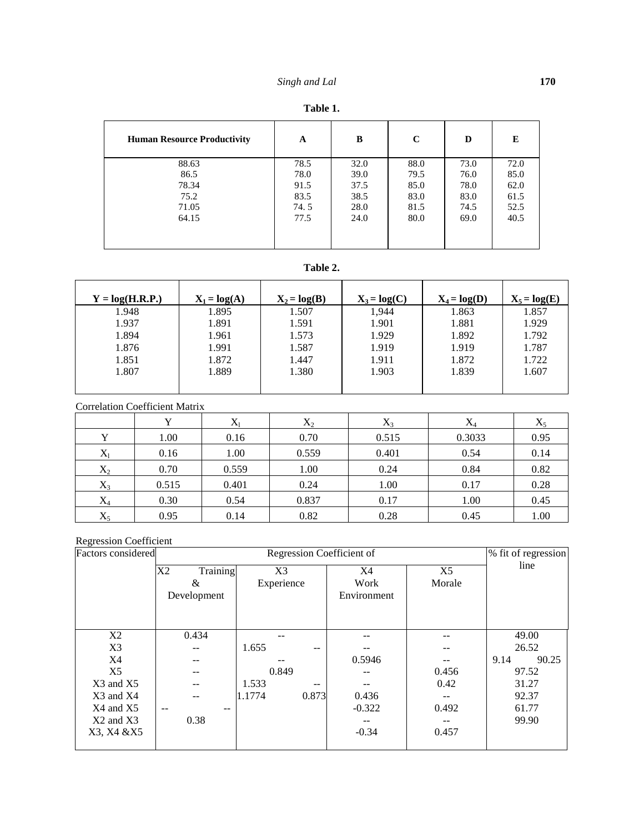| <b>Human Resource Productivity</b> | A    | B    | C    | D    | E    |
|------------------------------------|------|------|------|------|------|
| 88.63                              | 78.5 | 32.0 | 88.0 | 73.0 | 72.0 |
| 86.5                               | 78.0 | 39.0 | 79.5 | 76.0 | 85.0 |
| 78.34                              | 91.5 | 37.5 | 85.0 | 78.0 | 62.0 |
| 75.2                               | 83.5 | 38.5 | 83.0 | 83.0 | 61.5 |
| 71.05                              | 74.5 | 28.0 | 81.5 | 74.5 | 52.5 |
| 64.15                              | 77.5 | 24.0 | 80.0 | 69.0 | 40.5 |
|                                    |      |      |      |      |      |

### **Table 2.**

| $X_1 = log(A)$ | $X_2 = log(B)$ | $X_3 = log(C)$ | $X_4 = log(D)$ | $X_5 = log(E)$ |
|----------------|----------------|----------------|----------------|----------------|
| 1.895          | 1.507          | 1,944          | 1.863          | 1.857          |
| 1.891          | 1.591          | 1.901          | 1.881          | 1.929          |
| 1.961          | 1.573          | 1.929          | 1.892          | 1.792          |
| 1.991          | 1.587          | 1.919          | 1.919          | 1.787          |
| 1.872          | 1.447          | 1.911          | 1.872          | 1.722          |
| 1.889          | 1.380          | 1.903          | 1.839          | 1.607          |
|                |                |                |                |                |
|                |                |                |                |                |

Correlation Coefficient Matrix

|       |       |       | $\rm X_2$ | $X_3$ | $X_4$  | $X_5$ |
|-------|-------|-------|-----------|-------|--------|-------|
|       | 1.00  | 0.16  | 0.70      | 0.515 | 0.3033 | 0.95  |
| $X_l$ | 0.16  | 1.00  | 0.559     | 0.401 | 0.54   | 0.14  |
| $X_2$ | 0.70  | 0.559 | 1.00      | 0.24  | 0.84   | 0.82  |
| $X_3$ | 0.515 | 0.401 | 0.24      | 1.00  | 0.17   | 0.28  |
| $X_4$ | 0.30  | 0.54  | 0.837     | 0.17  | 1.00   | 0.45  |
| $X_5$ | 0.95  | 0.14  | 0.82      | 0.28  | 0.45   | 1.00  |

## Regression Coefficient

| Factors considered |                | % fit of regression               |          |                |               |  |
|--------------------|----------------|-----------------------------------|----------|----------------|---------------|--|
|                    | Training<br>X2 | X <sub>3</sub>                    | X4       | X <sub>5</sub> | line          |  |
|                    | &              | Experience                        | Work     | Morale         |               |  |
|                    | Development    |                                   |          |                |               |  |
|                    |                |                                   |          |                |               |  |
|                    |                |                                   |          |                |               |  |
| X2                 | 0.434          |                                   |          | --             | 49.00         |  |
| X3                 | $-1$           | 1.655<br>$- -$                    |          |                | 26.52         |  |
| X4                 |                |                                   | 0.5946   |                | 90.25<br>9.14 |  |
| X5                 | --             | 0.849                             | --       | 0.456          | 97.52         |  |
| $X3$ and $X5$      | --             | 1.533<br>$\overline{\phantom{m}}$ |          | 0.42           | 31.27         |  |
| X3 and X4          | --             | 0.873<br>1.1774                   | 0.436    |                | 92.37         |  |
| X4 and X5          | $- -$<br>$- -$ |                                   | $-0.322$ | 0.492          | 61.77         |  |
| $X2$ and $X3$      | 0.38           |                                   | --       | --             | 99.90         |  |
| X3, X4 & X5        |                |                                   | $-0.34$  | 0.457          |               |  |
|                    |                |                                   |          |                |               |  |